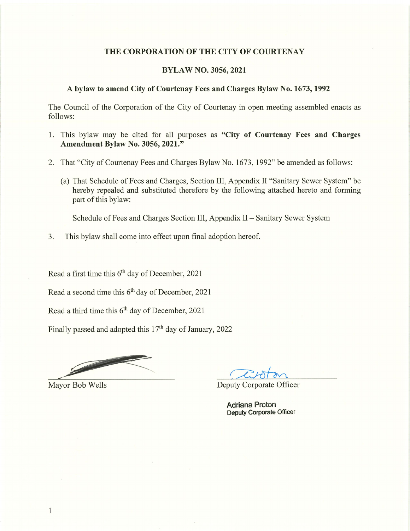#### THE CORPORATION OF THE CITY OF COURTENAY

## BYLAW NO. 3056, 2021

#### A bylaw to amend City of Courtenay Fees and Charges Bylaw No. 1673, 1992

The Council of the Corporation of the City of Courtenay in open meeting assembled enacts as follows:

- 1. This bylaw may be cited for all purposes as "City of Courtenay Fees and Charges" Amendment Bylaw No. 3056, 2021."
- 2. That "City of Courtenay Fees and Charges Bylaw No. 1673, 1992" be amended as follows:
	- (a) That Schedule of Fees and Charges, Section III, Appendix II "Sanitary Sewer System" be hereby repealed and substituted therefore by the following attached hereto and forming part of this bylaw:

Schedule of Fees and Charges Section III, Appendix II - Sanitary Sewer System

3. This bylaw shall come into effect upon final adoption hereof.

Read a first time this  $6<sup>th</sup>$  day of December, 2021

Read a second time this  $6<sup>th</sup>$  day of December, 2021

Read a third time this  $6<sup>th</sup>$  day of December, 2021

Finally passed and adopted this  $17<sup>th</sup>$  day of January, 2022

 $\mathcal{L}$  $\mathcal{V}$ 

Mayor Bob Wells Deputy Corporate Officer

Adriana Proton Deputy Corporate Officer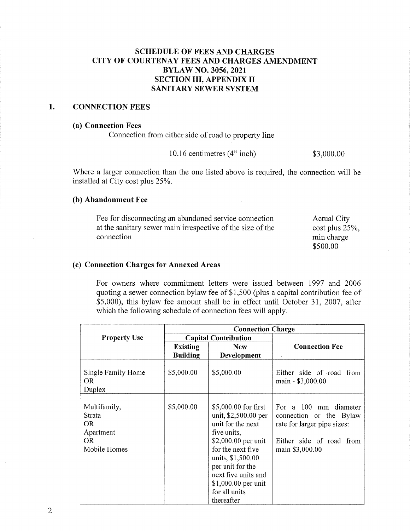# SCHEDULE OF FEES AND CHARGES CITY OF COURTENAY FEES AND CHARGES AMENDMENT BYLAW NO. 3056, 2021 SECTION III, APPENDIX II SANITARY SEWER SYSTEM

#### $1.$ CONNECTION FEES

#### (a) Connection Fees

Connection from either side of road to property line

10.16 centimetres (4" inch) \$3,000.00

\$500.00

Where a larger connection than the one listed above is required, the connection will be installed at City cost plus 25%.

## (b) Abandonment Fee

Fee for disconnecting an abandoned service connection at the sanitary sewer main irrespective of the size of the connection Actual City cost plus 25%, min charge

#### (c) Connection Charges for Annexed Areas

For owners where commitment letters were issued between 1997 and 2006 quoting a sewer connection bylaw fee of \$1,500 (plus a capital contribution fee of \$5,000), this bylaw fee amount shall be in effect until October 31, 2007, after which the following schedule of connection fees will apply.

|                                                                         | <b>Connection Charge</b>    |                                                                                                                                                                                                                                                     |                                                                                                                                |  |
|-------------------------------------------------------------------------|-----------------------------|-----------------------------------------------------------------------------------------------------------------------------------------------------------------------------------------------------------------------------------------------------|--------------------------------------------------------------------------------------------------------------------------------|--|
| <b>Property Use</b>                                                     | <b>Capital Contribution</b> |                                                                                                                                                                                                                                                     |                                                                                                                                |  |
|                                                                         | <b>Existing</b>             | <b>New</b>                                                                                                                                                                                                                                          | <b>Connection Fee</b>                                                                                                          |  |
|                                                                         | <b>Building</b>             | Development                                                                                                                                                                                                                                         |                                                                                                                                |  |
| Single Family Home<br>OR.<br>Duplex                                     | \$5,000.00                  | \$5,000.00                                                                                                                                                                                                                                          | Either side of road from<br>main - \$3,000.00                                                                                  |  |
| Multifamily,<br>Strata<br><b>OR</b><br>Apartment<br>OR.<br>Mobile Homes | \$5,000.00                  | \$5,000.00 for first<br>unit, \$2,500.00 per<br>unit for the next<br>five units,<br>\$2,000.00 per unit<br>for the next five<br>units, \$1,500.00<br>per unit for the<br>next five units and<br>$$1,000.00$ per unit<br>for all units<br>thereafter | For a 100 mm diameter<br>connection or the Bylaw<br>rate for larger pipe sizes:<br>Either side of road from<br>main \$3,000.00 |  |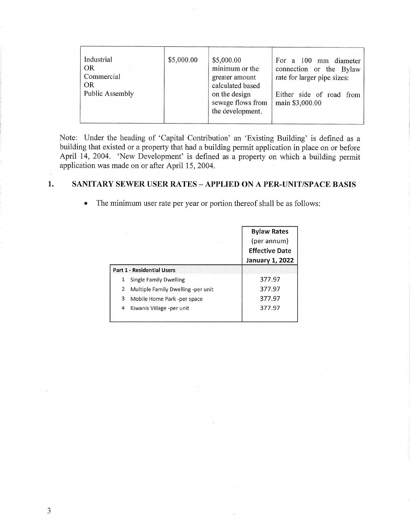| Industrial<br><b>OR</b><br>Commercial<br><b>OR</b><br>Public Assembly | \$5,000.00 | \$5,000.00<br>minimum or the<br>greater amount<br>calculated based<br>on the design<br>sewage flows from<br>the development. | For a 100 mm diameter<br>connection or the Bylaw<br>rate for larger pipe sizes:<br>Either side of road from<br>main \$3,000.00 |
|-----------------------------------------------------------------------|------------|------------------------------------------------------------------------------------------------------------------------------|--------------------------------------------------------------------------------------------------------------------------------|
|-----------------------------------------------------------------------|------------|------------------------------------------------------------------------------------------------------------------------------|--------------------------------------------------------------------------------------------------------------------------------|

Note: Under the heading of 'Capital Contribution' an 'Existing Building' is defined as a building that existed or a property that had a building permit application in place on or before April 14, 2004. 'New Development' is defined as a property on which a building permit application was made on or after April 15, 2004.

#### 1. SANITARY SEWER USER RATES - APPLIED ON A PER-UNIT/SPACE BASIS

|                                   |                                    | <b>Bylaw Rates</b>     |
|-----------------------------------|------------------------------------|------------------------|
|                                   |                                    | (per annum)            |
|                                   |                                    | <b>Effective Date</b>  |
|                                   |                                    | <b>January 1, 2022</b> |
| <b>Part 1 - Residential Users</b> |                                    |                        |
| 1                                 | Single Family Dwelling             | 377.97                 |
| 2                                 | Multiple Family Dwelling -per unit | 377.97                 |
| 3                                 | Mobile Home Park -per space        | 377.97                 |
| 4                                 | Kiwanis Village -per unit          | 377.97                 |
|                                   |                                    |                        |

• The minimum user rate per year or portion thereof shall be as follows: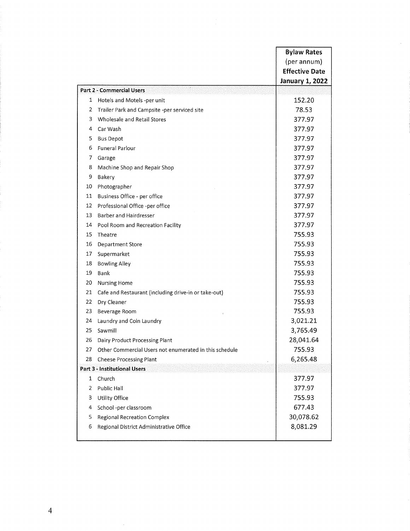|    |                                                        | <b>Bylaw Rates</b>     |
|----|--------------------------------------------------------|------------------------|
|    |                                                        | (per annum)            |
|    |                                                        | <b>Effective Date</b>  |
|    |                                                        | <b>January 1, 2022</b> |
|    | <b>Part 2 - Commercial Users</b>                       |                        |
| 1  | Hotels and Motels -per unit                            | 152.20                 |
| 2  | Trailer Park and Campsite -per serviced site           | 78.53                  |
| 3  | Wholesale and Retail Stores                            | 377.97                 |
| 4  | Car Wash                                               | 377.97                 |
| 5  | <b>Bus Depot</b>                                       | 377.97                 |
| 6  | <b>Funeral Parlour</b>                                 | 377.97                 |
| 7  | Garage                                                 | 377.97                 |
| 8  | Machine Shop and Repair Shop                           | 377.97                 |
| 9  | Bakery                                                 | 377.97                 |
| 10 | Photographer                                           | 377.97                 |
| 11 | Business Office - per office                           | 377.97                 |
| 12 | Professional Office -per office                        | 377.97                 |
| 13 | <b>Barber and Hairdresser</b>                          | 377.97                 |
| 14 | Pool Room and Recreation Facility                      | 377.97                 |
| 15 | Theatre                                                | 755.93                 |
| 16 | <b>Department Store</b>                                | 755.93                 |
| 17 | Supermarket                                            | 755.93                 |
| 18 | <b>Bowling Alley</b>                                   | 755.93                 |
| 19 | Bank                                                   | 755.93                 |
| 20 | <b>Nursing Home</b>                                    | 755.93                 |
| 21 | Cafe and Restaurant (including drive-in or take-out)   | 755.93                 |
| 22 | Dry Cleaner                                            | 755.93                 |
| 23 | Beverage Room                                          | 755.93                 |
| 24 | Laundry and Coin Laundry                               | 3,021.21               |
| 25 | Sawmill                                                | 3,765.49               |
| 26 | Dairy Product Processing Plant                         | 28,041.64              |
| 27 | Other Commercial Users not enumerated in this schedule | 755.93                 |
| 28 | <b>Cheese Processing Plant</b>                         | 6,265.48               |
|    | Part 3 - Institutional Users                           |                        |
| 1  | Church                                                 | 377.97                 |
| 2  | Public Hall                                            | 377.97                 |
| 3  | Utility Office                                         | 755.93                 |
| 4  | School -per classroom                                  | 677.43                 |
| 5  | <b>Regional Recreation Complex</b>                     | 30,078.62              |
| 6  | Regional District Administrative Office                | 8,081.29               |
|    |                                                        |                        |